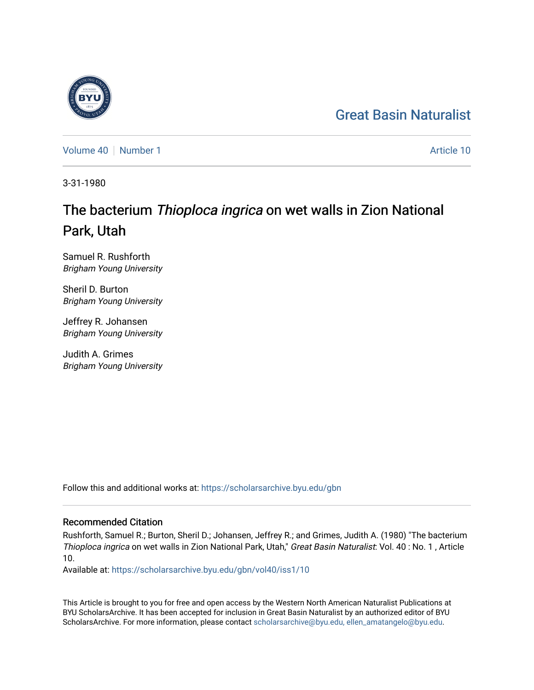## [Great Basin Naturalist](https://scholarsarchive.byu.edu/gbn)

[Volume 40](https://scholarsarchive.byu.edu/gbn/vol40) [Number 1](https://scholarsarchive.byu.edu/gbn/vol40/iss1) Article 10

3-31-1980

# The bacterium Thioploca ingrica on wet walls in Zion National Park, Utah

Samuel R. Rushforth Brigham Young University

Sheril D. Burton Brigham Young University

Jeffrey R. Johansen Brigham Young University

Judith A. Grimes Brigham Young University

Follow this and additional works at: [https://scholarsarchive.byu.edu/gbn](https://scholarsarchive.byu.edu/gbn?utm_source=scholarsarchive.byu.edu%2Fgbn%2Fvol40%2Fiss1%2F10&utm_medium=PDF&utm_campaign=PDFCoverPages) 

## Recommended Citation

Rushforth, Samuel R.; Burton, Sheril D.; Johansen, Jeffrey R.; and Grimes, Judith A. (1980) "The bacterium Thioploca ingrica on wet walls in Zion National Park, Utah," Great Basin Naturalist: Vol. 40 : No. 1 , Article 10.

Available at: [https://scholarsarchive.byu.edu/gbn/vol40/iss1/10](https://scholarsarchive.byu.edu/gbn/vol40/iss1/10?utm_source=scholarsarchive.byu.edu%2Fgbn%2Fvol40%2Fiss1%2F10&utm_medium=PDF&utm_campaign=PDFCoverPages) 

This Article is brought to you for free and open access by the Western North American Naturalist Publications at BYU ScholarsArchive. It has been accepted for inclusion in Great Basin Naturalist by an authorized editor of BYU ScholarsArchive. For more information, please contact [scholarsarchive@byu.edu, ellen\\_amatangelo@byu.edu.](mailto:scholarsarchive@byu.edu,%20ellen_amatangelo@byu.edu)

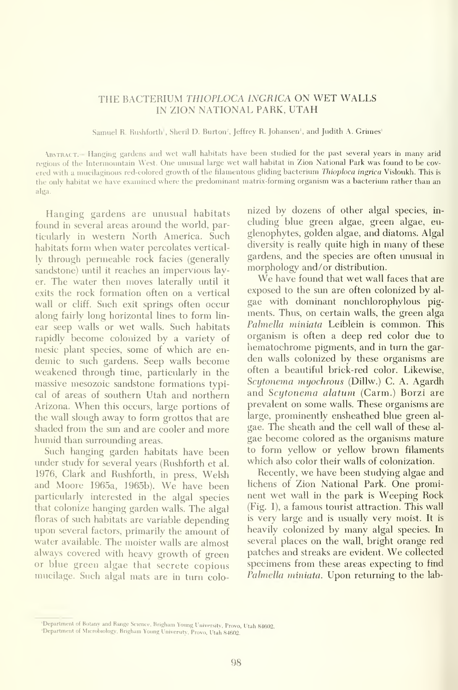### THE BACTERIUM THIOPLOCA INGRICA ON WET WALLS IN ZION NATIONAL PARK, UTAH

Samuel R. Rushforth<sup>'</sup>, Sheril D. Burton<sup>2</sup>, Jeffrey R. Johansen<sup>1</sup>, and Judith A. Grimes<sup>1</sup>

.\bstract.— Hanging gardens and wet wall habitats have been studied for the past several years in many arid regions of the Intermountain West. One unusual large wet wall habitat in Zion National Park was found to be cov ered with a mucilaginous red-colored growth of the filamentous gliding bacterium Thioploca ingrica Visloukh. This is the only habitat we have examined where the predominant matrix-forming organism was <sup>a</sup> bacterium rather than an alga.

Hanging gardens are unusual habitats found in several areas around the world, particularly in western North America. Such habitats form when water percolates vertically through permeable rock facies (generally sandstone) until it reaches an impervious layer. The water then moves laterally imtil it exits the rock formation often on a vertical wall or cliff. Such exit springs often occur along fairly long horizontal lines to form lin ear seep walls or wet walls. Such habitats rapidly become colonized by a variety of mesic plant species, some of which are en demic to such gardens. Seep walls become weakened through time, particularly in the massive mesozoic sandstone formations typical of areas of southern Utah and northern Arizona. When this occurs, large portions of the wall slough away to form grottos that are shaded from the sun and are cooler and more humid than surrounding areas.

Such hanging garden habitats have been imder study for several years (Rushforth et al. 1976, Clark and Rushforth, in press, Welsh and Moore 1965a, 1965b). We have been particularly interested in the algal species that colonize hanging garden walls. The algal floras of such habitats are variable depending upon several factors, primarily the amount of water available. The moister walls are almost always covered with heavy growth of green or blue green algae that secrete copious mucilage. Such algal mats are in turn colonized by dozens of other algal species, in cluding blue green algae, green algae, eu glenophytes, golden algae, and diatoms. Algal diversity is really quite high in many of these gardens, and the species are often imusual in morphology and/or distribution.

We have found that wet wall faces that are exposed to the sun are often colonized by al gae with dominant nonchlorophylous pig ments. Thus, on certain walls, the green alga Palmella miniata Leiblein is common. This organism is often a deep red color due to hematochrome pigments, and in turn the garden walls colonized by these organisms are often a beautiful brick-red color. Likewise, Scytonema myochrous (Dillw.) C. A. Agardh and Scytonema alatum (Carm.) Borzi are prevalent on some walls. These organisms are large, prominently ensheathed blue green al gae. The sheath and the cell wall of these al gae become colored as the organisms mature to form yellow or yellow brown filaments which also color their walls of colonization.

Recently, we have been studying algae and lichens of Zion National Park. One prominent wet wall in the park is Weeping Rock (Fig. 1), a famous tourist attraction. This wall is very large and is usually very moist. It is heavily colonized by many algal species. In several places on the wall, bright orange red patches and streaks are evident. We collected specimens from these areas expecting to find Palmella miniata. Upon returning to the lab-

<sup>&#</sup>x27;Department of Botany and Range Science, Brigham Young University, Provo, Utah 84602.<br>'Department of Microbiology, Brigham Young University, Provo, Utah 84602.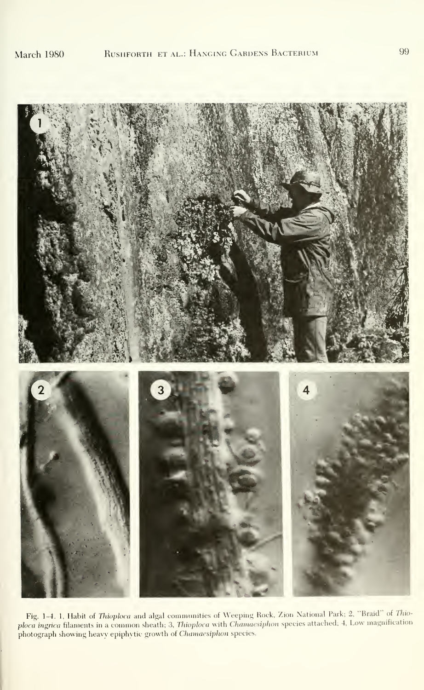

Fig. 1–4. 1, Habit of *Thioploca* and algal communities of Weeping Rock, Zion National Park; 2, "Braid" of *Thio-*<br>ploca ingrica filaments in a common sheath; 3, *Thioploca* with *Chamaesiphon* species attached; 4, Low mag photograph showing heavy epiphytic growth of Chamaesiphon species.